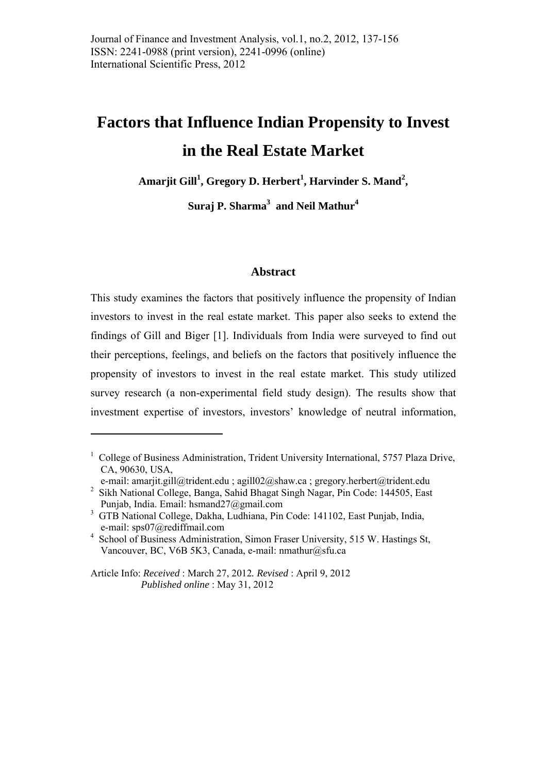# **Factors that Influence Indian Propensity to Invest in the Real Estate Market**

**Amarjit Gill<sup>1</sup> , Gregory D. Herbert<sup>1</sup> , Harvinder S. Mand<sup>2</sup> ,** 

**Suraj P. Sharma3 and Neil Mathur<sup>4</sup>**

#### **Abstract**

This study examines the factors that positively influence the propensity of Indian investors to invest in the real estate market. This paper also seeks to extend the findings of Gill and Biger [1]. Individuals from India were surveyed to find out their perceptions, feelings, and beliefs on the factors that positively influence the propensity of investors to invest in the real estate market. This study utilized survey research (a non-experimental field study design). The results show that investment expertise of investors, investors' knowledge of neutral information,

<u>.</u>

<sup>&</sup>lt;sup>1</sup> College of Business Administration, Trident University International, 5757 Plaza Drive, CA, 90630, USA,

e-mail: amarjit.gill@trident.edu ; agill02@shaw.ca ; gregory.herbert@trident.edu <sup>2</sup> Sikh National College, Banga, Sahid Bhagat Singh Nagar, Pin Code: 144505, East Punjab, India. Email: hsmand27@gmail.com

<sup>3</sup> GTB National College, Dakha, Ludhiana, Pin Code: 141102, East Punjab, India, e-mail: sps07@rediffmail.com

<sup>4</sup> School of Business Administration, Simon Fraser University, 515 W. Hastings St, Vancouver, BC, V6B 5K3, Canada, e-mail: nmathur@sfu.ca

Article Info: *Received* : March 27, 2012*. Revised* : April 9, 2012 *Published online* : May 31, 2012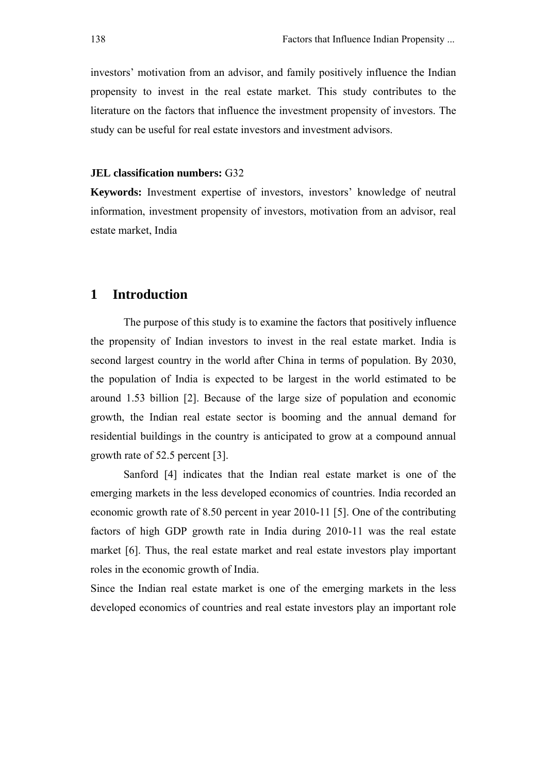investors' motivation from an advisor, and family positively influence the Indian propensity to invest in the real estate market. This study contributes to the literature on the factors that influence the investment propensity of investors. The study can be useful for real estate investors and investment advisors.

#### **JEL classification numbers:** G32

**Keywords:** Investment expertise of investors, investors' knowledge of neutral information, investment propensity of investors, motivation from an advisor, real estate market, India

# **1 Introduction**

 The purpose of this study is to examine the factors that positively influence the propensity of Indian investors to invest in the real estate market. India is second largest country in the world after China in terms of population. By 2030, the population of India is expected to be largest in the world estimated to be around 1.53 billion [2]. Because of the large size of population and economic growth, the Indian real estate sector is booming and the annual demand for residential buildings in the country is anticipated to grow at a compound annual growth rate of 52.5 percent [3].

 Sanford [4] indicates that the Indian real estate market is one of the emerging markets in the less developed economics of countries. India recorded an economic growth rate of 8.50 percent in year 2010-11 [5]. One of the contributing factors of high GDP growth rate in India during 2010-11 was the real estate market [6]. Thus, the real estate market and real estate investors play important roles in the economic growth of India.

Since the Indian real estate market is one of the emerging markets in the less developed economics of countries and real estate investors play an important role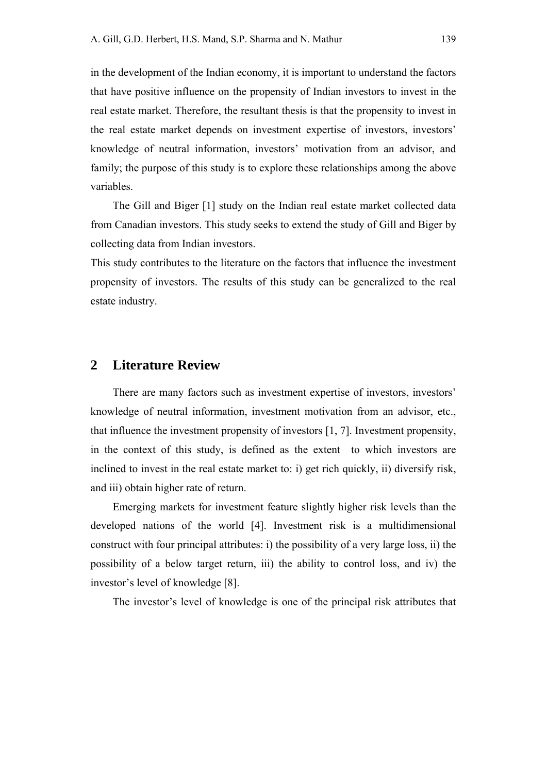in the development of the Indian economy, it is important to understand the factors that have positive influence on the propensity of Indian investors to invest in the real estate market. Therefore, the resultant thesis is that the propensity to invest in the real estate market depends on investment expertise of investors, investors' knowledge of neutral information, investors' motivation from an advisor, and family; the purpose of this study is to explore these relationships among the above variables.

The Gill and Biger [1] study on the Indian real estate market collected data from Canadian investors. This study seeks to extend the study of Gill and Biger by collecting data from Indian investors.

This study contributes to the literature on the factors that influence the investment propensity of investors. The results of this study can be generalized to the real estate industry.

#### **2 Literature Review**

There are many factors such as investment expertise of investors, investors' knowledge of neutral information, investment motivation from an advisor, etc., that influence the investment propensity of investors [1, 7]. Investment propensity, in the context of this study, is defined as the extent to which investors are inclined to invest in the real estate market to: i) get rich quickly, ii) diversify risk, and iii) obtain higher rate of return.

Emerging markets for investment feature slightly higher risk levels than the developed nations of the world [4]. Investment risk is a multidimensional construct with four principal attributes: i) the possibility of a very large loss, ii) the possibility of a below target return, iii) the ability to control loss, and iv) the investor's level of knowledge [8].

The investor's level of knowledge is one of the principal risk attributes that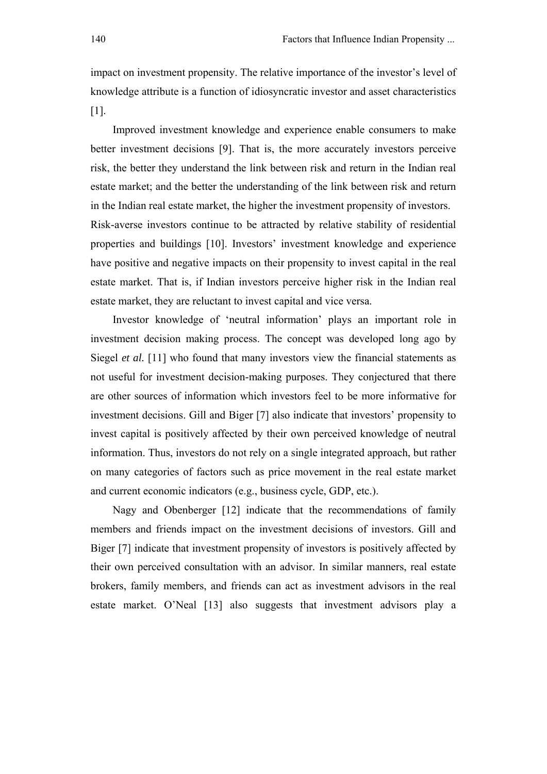impact on investment propensity. The relative importance of the investor's level of knowledge attribute is a function of idiosyncratic investor and asset characteristics [1].

Improved investment knowledge and experience enable consumers to make better investment decisions [9]. That is, the more accurately investors perceive risk, the better they understand the link between risk and return in the Indian real estate market; and the better the understanding of the link between risk and return in the Indian real estate market, the higher the investment propensity of investors. Risk-averse investors continue to be attracted by relative stability of residential properties and buildings [10]. Investors' investment knowledge and experience have positive and negative impacts on their propensity to invest capital in the real estate market. That is, if Indian investors perceive higher risk in the Indian real estate market, they are reluctant to invest capital and vice versa.

Investor knowledge of 'neutral information' plays an important role in investment decision making process. The concept was developed long ago by Siegel *et al.* [11] who found that many investors view the financial statements as not useful for investment decision-making purposes. They conjectured that there are other sources of information which investors feel to be more informative for investment decisions. Gill and Biger [7] also indicate that investors' propensity to invest capital is positively affected by their own perceived knowledge of neutral information. Thus, investors do not rely on a single integrated approach, but rather on many categories of factors such as price movement in the real estate market and current economic indicators (e.g., business cycle, GDP, etc.).

Nagy and Obenberger [12] indicate that the recommendations of family members and friends impact on the investment decisions of investors. Gill and Biger [7] indicate that investment propensity of investors is positively affected by their own perceived consultation with an advisor. In similar manners, real estate brokers, family members, and friends can act as investment advisors in the real estate market. O'Neal [13] also suggests that investment advisors play a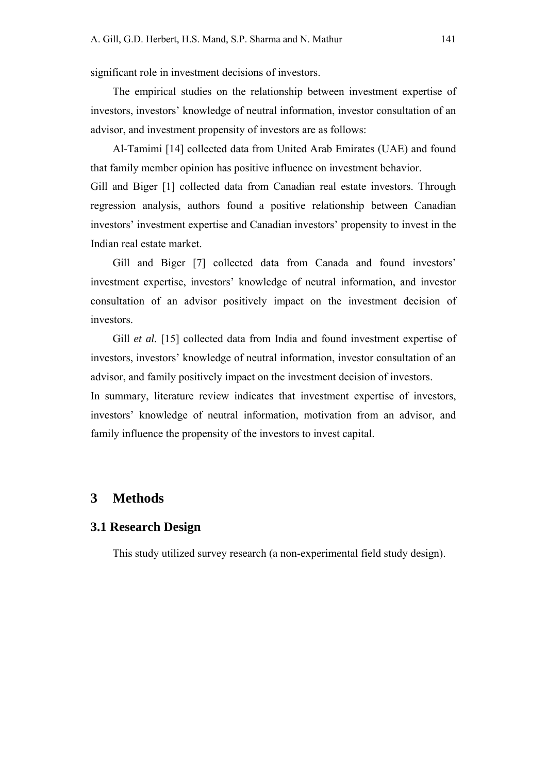significant role in investment decisions of investors.

The empirical studies on the relationship between investment expertise of investors, investors' knowledge of neutral information, investor consultation of an advisor, and investment propensity of investors are as follows:

Al-Tamimi [14] collected data from United Arab Emirates (UAE) and found that family member opinion has positive influence on investment behavior.

Gill and Biger [1] collected data from Canadian real estate investors. Through regression analysis, authors found a positive relationship between Canadian investors' investment expertise and Canadian investors' propensity to invest in the Indian real estate market.

Gill and Biger [7] collected data from Canada and found investors' investment expertise, investors' knowledge of neutral information, and investor consultation of an advisor positively impact on the investment decision of investors.

Gill *et al.* [15] collected data from India and found investment expertise of investors, investors' knowledge of neutral information, investor consultation of an advisor, and family positively impact on the investment decision of investors.

In summary, literature review indicates that investment expertise of investors, investors' knowledge of neutral information, motivation from an advisor, and family influence the propensity of the investors to invest capital.

# **3 Methods**

#### **3.1 Research Design**

This study utilized survey research (a non-experimental field study design).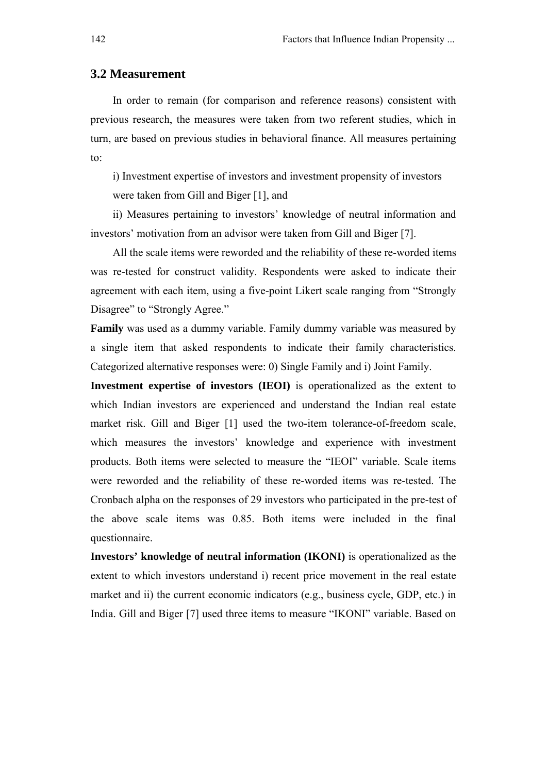#### **3.2 Measurement**

In order to remain (for comparison and reference reasons) consistent with previous research, the measures were taken from two referent studies, which in turn, are based on previous studies in behavioral finance. All measures pertaining to:

i) Investment expertise of investors and investment propensity of investors were taken from Gill and Biger [1], and

ii) Measures pertaining to investors' knowledge of neutral information and investors' motivation from an advisor were taken from Gill and Biger [7].

All the scale items were reworded and the reliability of these re-worded items was re-tested for construct validity. Respondents were asked to indicate their agreement with each item, using a five-point Likert scale ranging from "Strongly Disagree" to "Strongly Agree."

**Family** was used as a dummy variable. Family dummy variable was measured by a single item that asked respondents to indicate their family characteristics. Categorized alternative responses were: 0) Single Family and i) Joint Family.

**Investment expertise of investors (IEOI)** is operationalized as the extent to which Indian investors are experienced and understand the Indian real estate market risk. Gill and Biger [1] used the two-item tolerance-of-freedom scale, which measures the investors' knowledge and experience with investment products. Both items were selected to measure the "IEOI" variable. Scale items were reworded and the reliability of these re-worded items was re-tested. The Cronbach alpha on the responses of 29 investors who participated in the pre-test of the above scale items was 0.85. Both items were included in the final questionnaire.

**Investors' knowledge of neutral information (IKONI)** is operationalized as the extent to which investors understand i) recent price movement in the real estate market and ii) the current economic indicators (e.g., business cycle, GDP, etc.) in India. Gill and Biger [7] used three items to measure "IKONI" variable. Based on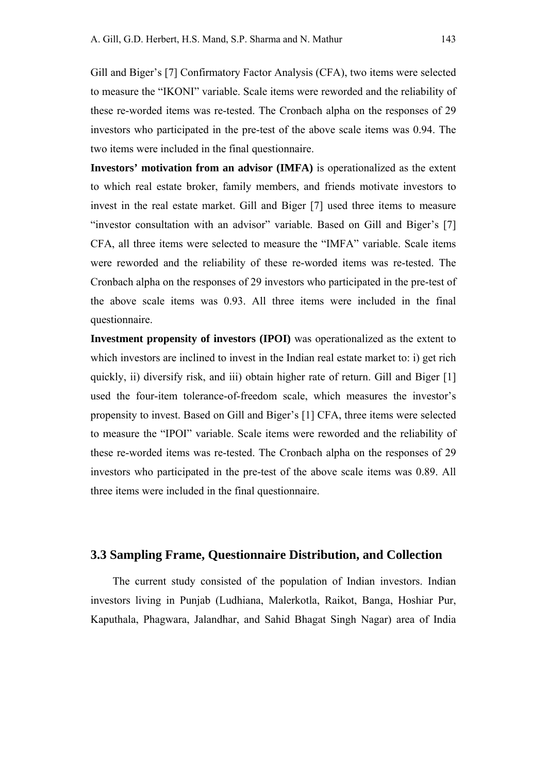Gill and Biger's [7] Confirmatory Factor Analysis (CFA), two items were selected to measure the "IKONI" variable. Scale items were reworded and the reliability of these re-worded items was re-tested. The Cronbach alpha on the responses of 29 investors who participated in the pre-test of the above scale items was 0.94. The two items were included in the final questionnaire.

**Investors' motivation from an advisor (IMFA)** is operationalized as the extent to which real estate broker, family members, and friends motivate investors to invest in the real estate market. Gill and Biger [7] used three items to measure "investor consultation with an advisor" variable. Based on Gill and Biger's [7] CFA, all three items were selected to measure the "IMFA" variable. Scale items were reworded and the reliability of these re-worded items was re-tested. The Cronbach alpha on the responses of 29 investors who participated in the pre-test of the above scale items was 0.93. All three items were included in the final questionnaire.

**Investment propensity of investors (IPOI)** was operationalized as the extent to which investors are inclined to invest in the Indian real estate market to: i) get rich quickly, ii) diversify risk, and iii) obtain higher rate of return. Gill and Biger [1] used the four-item tolerance-of-freedom scale, which measures the investor's propensity to invest. Based on Gill and Biger's [1] CFA, three items were selected to measure the "IPOI" variable. Scale items were reworded and the reliability of these re-worded items was re-tested. The Cronbach alpha on the responses of 29 investors who participated in the pre-test of the above scale items was 0.89. All three items were included in the final questionnaire.

#### **3.3 Sampling Frame, Questionnaire Distribution, and Collection**

The current study consisted of the population of Indian investors. Indian investors living in Punjab (Ludhiana, Malerkotla, Raikot, Banga, Hoshiar Pur, Kaputhala, Phagwara, Jalandhar, and Sahid Bhagat Singh Nagar) area of India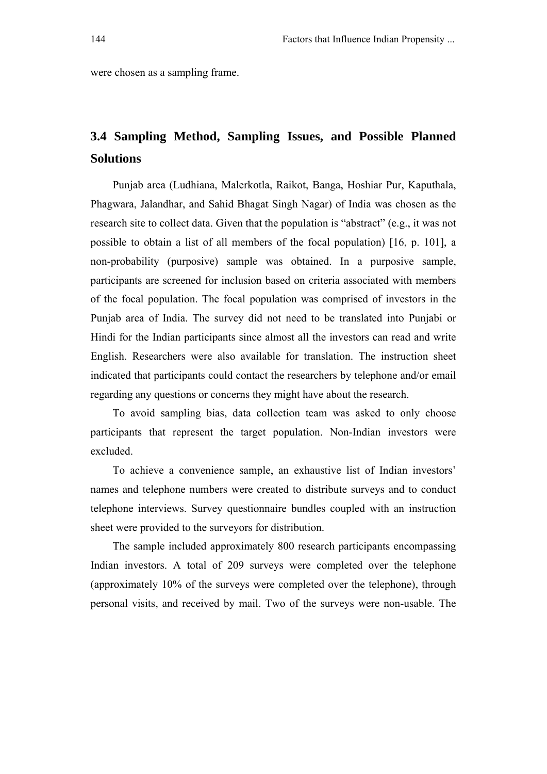were chosen as a sampling frame.

# **3.4 Sampling Method, Sampling Issues, and Possible Planned Solutions**

Punjab area (Ludhiana, Malerkotla, Raikot, Banga, Hoshiar Pur, Kaputhala, Phagwara, Jalandhar, and Sahid Bhagat Singh Nagar) of India was chosen as the research site to collect data. Given that the population is "abstract" (e.g., it was not possible to obtain a list of all members of the focal population) [16, p. 101], a non-probability (purposive) sample was obtained. In a purposive sample, participants are screened for inclusion based on criteria associated with members of the focal population. The focal population was comprised of investors in the Punjab area of India. The survey did not need to be translated into Punjabi or Hindi for the Indian participants since almost all the investors can read and write English. Researchers were also available for translation. The instruction sheet indicated that participants could contact the researchers by telephone and/or email regarding any questions or concerns they might have about the research.

To avoid sampling bias, data collection team was asked to only choose participants that represent the target population. Non-Indian investors were excluded.

To achieve a convenience sample, an exhaustive list of Indian investors' names and telephone numbers were created to distribute surveys and to conduct telephone interviews. Survey questionnaire bundles coupled with an instruction sheet were provided to the surveyors for distribution.

The sample included approximately 800 research participants encompassing Indian investors. A total of 209 surveys were completed over the telephone (approximately 10% of the surveys were completed over the telephone), through personal visits, and received by mail. Two of the surveys were non-usable. The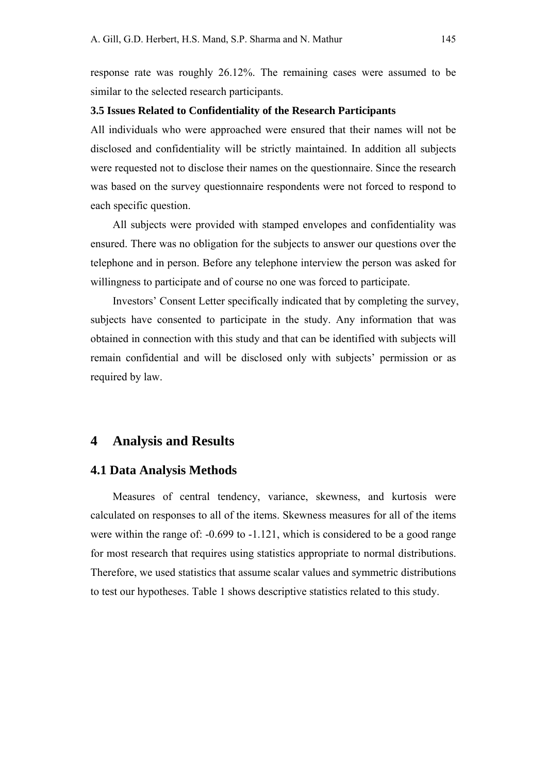response rate was roughly 26.12%. The remaining cases were assumed to be similar to the selected research participants.

#### **3.5 Issues Related to Confidentiality of the Research Participants**

All individuals who were approached were ensured that their names will not be disclosed and confidentiality will be strictly maintained. In addition all subjects were requested not to disclose their names on the questionnaire. Since the research was based on the survey questionnaire respondents were not forced to respond to each specific question.

All subjects were provided with stamped envelopes and confidentiality was ensured. There was no obligation for the subjects to answer our questions over the telephone and in person. Before any telephone interview the person was asked for willingness to participate and of course no one was forced to participate.

Investors' Consent Letter specifically indicated that by completing the survey, subjects have consented to participate in the study. Any information that was obtained in connection with this study and that can be identified with subjects will remain confidential and will be disclosed only with subjects' permission or as required by law.

#### **4 Analysis and Results**

#### **4.1 Data Analysis Methods**

Measures of central tendency, variance, skewness, and kurtosis were calculated on responses to all of the items. Skewness measures for all of the items were within the range of: -0.699 to -1.121, which is considered to be a good range for most research that requires using statistics appropriate to normal distributions. Therefore, we used statistics that assume scalar values and symmetric distributions to test our hypotheses. Table 1 shows descriptive statistics related to this study.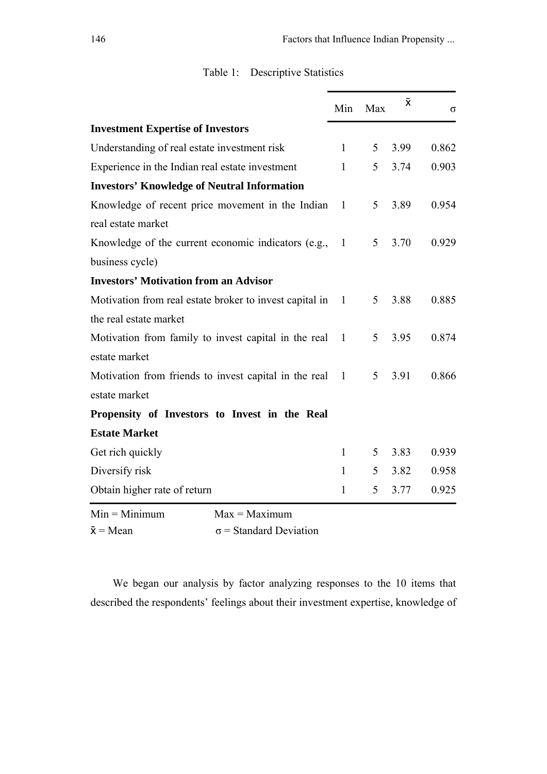|                                                         | Min            | Max | $\bar{x}$ | σ     |
|---------------------------------------------------------|----------------|-----|-----------|-------|
| <b>Investment Expertise of Investors</b>                |                |     |           |       |
| Understanding of real estate investment risk            | $\mathbf{1}$   | 5   | 3.99      | 0.862 |
| Experience in the Indian real estate investment         | $\mathbf{1}$   | 5   | 3.74      | 0.903 |
| <b>Investors' Knowledge of Neutral Information</b>      |                |     |           |       |
| Knowledge of recent price movement in the Indian        | $\mathbf{1}$   | 5   | 3.89      | 0.954 |
| real estate market                                      |                |     |           |       |
| Knowledge of the current economic indicators (e.g.,     | $\overline{1}$ | 5   | 3.70      | 0.929 |
| business cycle)                                         |                |     |           |       |
| <b>Investors' Motivation from an Advisor</b>            |                |     |           |       |
| Motivation from real estate broker to invest capital in | $\overline{1}$ | 5   | 3.88      | 0.885 |
| the real estate market                                  |                |     |           |       |
| Motivation from family to invest capital in the real    | 1              | 5   | 3.95      | 0.874 |
| estate market                                           |                |     |           |       |
| Motivation from friends to invest capital in the real   | $\mathbf{1}$   | 5   | 3.91      | 0.866 |
| estate market                                           |                |     |           |       |
| Propensity of Investors to Invest in the Real           |                |     |           |       |
| <b>Estate Market</b>                                    |                |     |           |       |
| Get rich quickly                                        | 1              | 5   | 3.83      | 0.939 |
| Diversify risk                                          | $\mathbf{1}$   | 5   | 3.82      | 0.958 |
| Obtain higher rate of return                            | 1              | 5   | 3.77      | 0.925 |
| $Min = Minimum$<br>$Max = Maximum$                      |                |     |           |       |

# Table 1:Descriptive Statistics

 $Min = Minimum$   $Max = Maximum$ 

```
\bar{x} = Mean \sigma = Standard Deviation
```
We began our analysis by factor analyzing responses to the 10 items that described the respondents' feelings about their investment expertise, knowledge of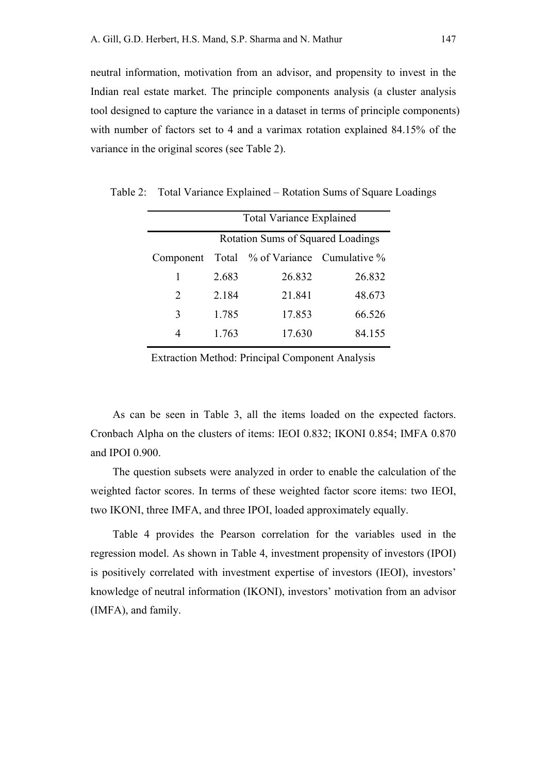neutral information, motivation from an advisor, and propensity to invest in the Indian real estate market. The principle components analysis (a cluster analysis tool designed to capture the variance in a dataset in terms of principle components) with number of factors set to 4 and a varimax rotation explained 84.15% of the variance in the original scores (see Table 2).

|                                          | <b>Total Variance Explained</b> |                                  |        |  |  |
|------------------------------------------|---------------------------------|----------------------------------|--------|--|--|
| <b>Rotation Sums of Squared Loadings</b> |                                 |                                  |        |  |  |
| Component                                |                                 | Total % of Variance Cumulative % |        |  |  |
| 1                                        | 2.683                           | 26.832                           | 26.832 |  |  |
| 2                                        | 2.184                           | 21.841                           | 48.673 |  |  |
| 3                                        | 1.785                           | 17.853                           | 66.526 |  |  |
|                                          | 1.763                           | 17.630                           | 84.155 |  |  |

Table 2:Total Variance Explained – Rotation Sums of Square Loadings

Extraction Method: Principal Component Analysis

As can be seen in Table 3, all the items loaded on the expected factors. Cronbach Alpha on the clusters of items: IEOI 0.832; IKONI 0.854; IMFA 0.870 and IPOI 0.900.

The question subsets were analyzed in order to enable the calculation of the weighted factor scores. In terms of these weighted factor score items: two IEOI, two IKONI, three IMFA, and three IPOI, loaded approximately equally.

Table 4 provides the Pearson correlation for the variables used in the regression model. As shown in Table 4, investment propensity of investors (IPOI) is positively correlated with investment expertise of investors (IEOI), investors' knowledge of neutral information (IKONI), investors' motivation from an advisor (IMFA), and family.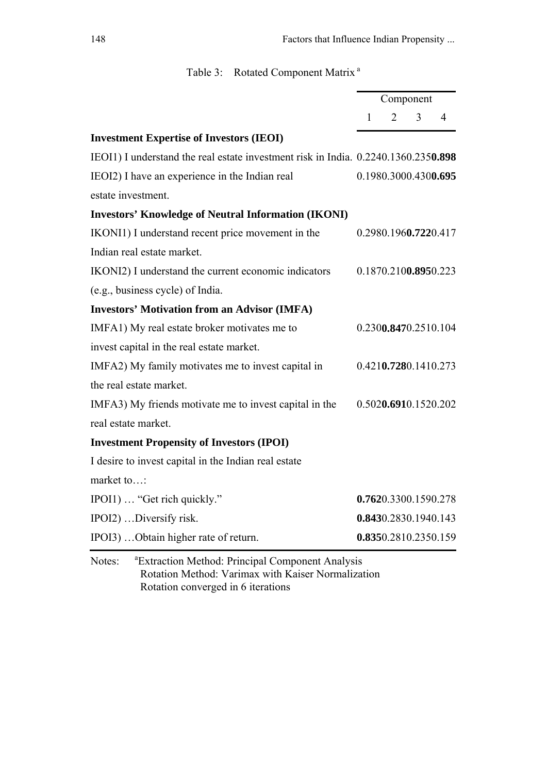|  | Table 3: Rotated Component Matrix <sup>a</sup> |  |
|--|------------------------------------------------|--|
|  |                                                |  |

|                                                                                    |                      |                | Component |   |
|------------------------------------------------------------------------------------|----------------------|----------------|-----------|---|
|                                                                                    | $\mathbf{1}$         | $\overline{2}$ | 3         | 4 |
| <b>Investment Expertise of Investors (IEOI)</b>                                    |                      |                |           |   |
| IEOI1) I understand the real estate investment risk in India. 0.2240.1360.2350.898 |                      |                |           |   |
| IEOI2) I have an experience in the Indian real                                     | 0.1980.3000.4300.695 |                |           |   |
| estate investment.                                                                 |                      |                |           |   |
| <b>Investors' Knowledge of Neutral Information (IKONI)</b>                         |                      |                |           |   |
| IKONI1) I understand recent price movement in the                                  | 0.2980.1960.7220.417 |                |           |   |
| Indian real estate market.                                                         |                      |                |           |   |
| IKONI2) I understand the current economic indicators                               | 0.1870.2100.8950.223 |                |           |   |
| (e.g., business cycle) of India.                                                   |                      |                |           |   |
| <b>Investors' Motivation from an Advisor (IMFA)</b>                                |                      |                |           |   |
| IMFA1) My real estate broker motivates me to                                       | 0.2300.8470.2510.104 |                |           |   |
| invest capital in the real estate market.                                          |                      |                |           |   |
| IMFA2) My family motivates me to invest capital in                                 | 0.4210.7280.1410.273 |                |           |   |
| the real estate market.                                                            |                      |                |           |   |
| IMFA3) My friends motivate me to invest capital in the                             | 0.5020.6910.1520.202 |                |           |   |
| real estate market.                                                                |                      |                |           |   |
| <b>Investment Propensity of Investors (IPOI)</b>                                   |                      |                |           |   |
| I desire to invest capital in the Indian real estate                               |                      |                |           |   |
| market to:                                                                         |                      |                |           |   |
| IPOI1)  "Get rich quickly."                                                        | 0.7620.3300.1590.278 |                |           |   |
| IPOI2) Diversify risk.                                                             | 0.8430.2830.1940.143 |                |           |   |
| IPOI3)  Obtain higher rate of return.                                              | 0.8350.2810.2350.159 |                |           |   |
| <sup>a</sup> Extraction Method: Principal Component Analysis<br>$N$ otec $\cdot$   |                      |                |           |   |

Notes: Extraction Method: Principal Component Analysis Rotation Method: Varimax with Kaiser Normalization Rotation converged in 6 iterations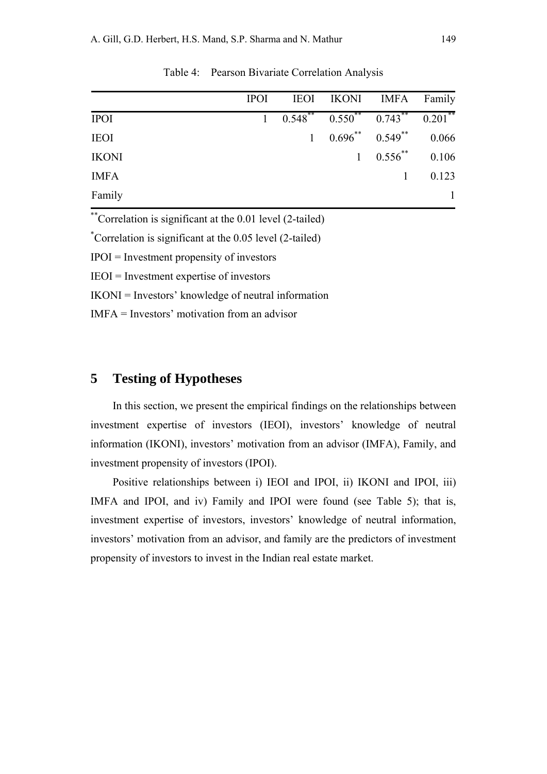|              | <b>IPOI</b> |                                          | IEOI IKONI IMFA Family            |                      |       |
|--------------|-------------|------------------------------------------|-----------------------------------|----------------------|-------|
| <b>IPOI</b>  |             | $1 \t 0.548$ $0.550$ $0.743$ $0.201$ $($ |                                   |                      |       |
| <b>IEOI</b>  |             | $\mathbf{1}$                             | $0.696^{**}$ $0.549^{**}$ $0.066$ |                      |       |
| <b>IKONI</b> |             |                                          |                                   | 1 $0.556^{**}$ 0.106 |       |
| <b>IMFA</b>  |             |                                          |                                   | $\mathbf{1}$         | 0.123 |
| Family       |             |                                          |                                   |                      |       |

Table 4: Pearson Bivariate Correlation Analysis

\*\*Correlation is significant at the 0.01 level (2-tailed)

\* Correlation is significant at the 0.05 level (2-tailed)

 $IPOI = Investment$  propensity of investors

IEOI = Investment expertise of investors

IKONI = Investors' knowledge of neutral information

IMFA = Investors' motivation from an advisor

# **5 Testing of Hypotheses**

In this section, we present the empirical findings on the relationships between investment expertise of investors (IEOI), investors' knowledge of neutral information (IKONI), investors' motivation from an advisor (IMFA), Family, and investment propensity of investors (IPOI).

Positive relationships between i) IEOI and IPOI, ii) IKONI and IPOI, iii) IMFA and IPOI, and iv) Family and IPOI were found (see Table 5); that is, investment expertise of investors, investors' knowledge of neutral information, investors' motivation from an advisor, and family are the predictors of investment propensity of investors to invest in the Indian real estate market.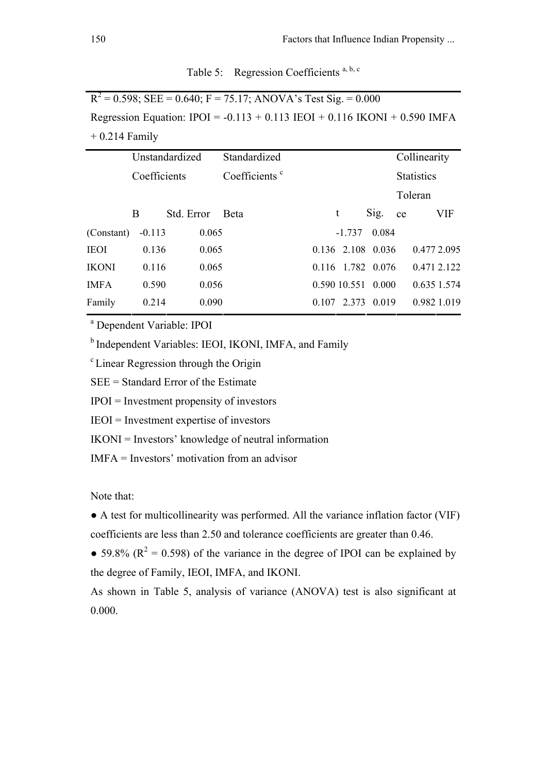|  |  | Table 5: Regression Coefficients <sup>a, b, c</sup> |  |
|--|--|-----------------------------------------------------|--|
|--|--|-----------------------------------------------------|--|

 $R^2 = 0.598$ ; SEE = 0.640; F = 75.17; ANOVA's Test Sig. = 0.000 Regression Equation:  $IPOI = -0.113 + 0.113$   $IEOI + 0.116$   $IKONI + 0.590$   $IMFA$  $+ 0.214$  Family

|            |          | Unstandardized |       | Standardized              |   |                    |       |    | Collinearity      |     |
|------------|----------|----------------|-------|---------------------------|---|--------------------|-------|----|-------------------|-----|
|            |          | Coefficients   |       | Coefficients <sup>c</sup> |   |                    |       |    | <b>Statistics</b> |     |
|            |          |                |       |                           |   |                    |       |    | Toleran           |     |
|            | B        | Std. Error     |       | Beta                      | t |                    | Sig.  | ce |                   | VIF |
| (Constant) | $-0.113$ |                | 0.065 |                           |   | $-1.737$           | 0.084 |    |                   |     |
| IEOI       | 0.136    |                | 0.065 |                           |   | 0.136 2.108 0.036  |       |    | 0.477 2.095       |     |
| IKONI      | 0.116    |                | 0.065 |                           |   | 0.116 1.782 0.076  |       |    | 0.471 2.122       |     |
| IMFA       | 0.590    |                | 0.056 |                           |   | 0.590 10.551 0.000 |       |    | 0.635 1.574       |     |
| Family     | 0.214    |                | 0.090 |                           |   | 0.107 2.373        | 0.019 |    | 0.982 1.019       |     |
|            |          |                |       |                           |   |                    |       |    |                   |     |

a Dependent Variable: IPOI

<sup>b</sup> Independent Variables: IEOI, IKONI, IMFA, and Family

c Linear Regression through the Origin

SEE = Standard Error of the Estimate

IPOI = Investment propensity of investors

IEOI = Investment expertise of investors

IKONI = Investors' knowledge of neutral information

IMFA = Investors' motivation from an advisor

Note that:

● A test for multicollinearity was performed. All the variance inflation factor (VIF) coefficients are less than 2.50 and tolerance coefficients are greater than 0.46.

• 59.8% ( $R^2 = 0.598$ ) of the variance in the degree of IPOI can be explained by the degree of Family, IEOI, IMFA, and IKONI.

As shown in Table 5, analysis of variance (ANOVA) test is also significant at 0.000.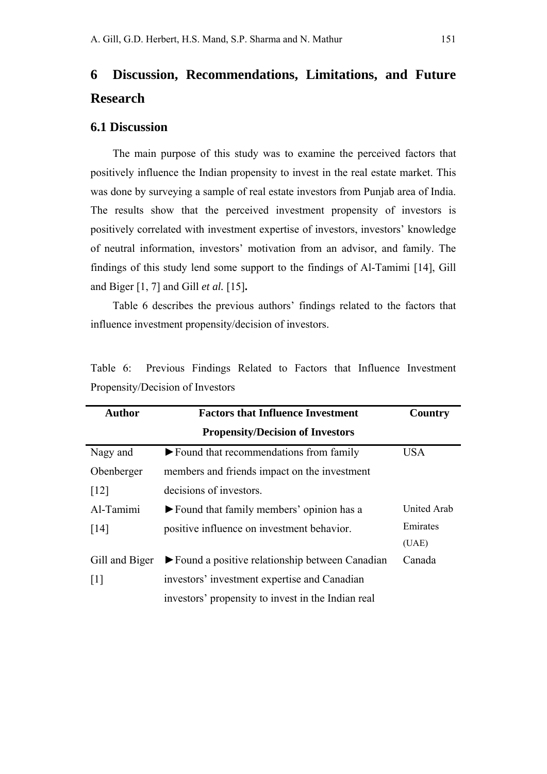# **6 Discussion, Recommendations, Limitations, and Future Research**

#### **6.1 Discussion**

The main purpose of this study was to examine the perceived factors that positively influence the Indian propensity to invest in the real estate market. This was done by surveying a sample of real estate investors from Punjab area of India. The results show that the perceived investment propensity of investors is positively correlated with investment expertise of investors, investors' knowledge of neutral information, investors' motivation from an advisor, and family. The findings of this study lend some support to the findings of Al-Tamimi [14], Gill and Biger [1, 7] and Gill *et al.* [15]**.** 

Table 6 describes the previous authors' findings related to the factors that influence investment propensity/decision of investors.

| <b>Author</b>      | <b>Factors that Influence Investment</b>                             |             |  |  |
|--------------------|----------------------------------------------------------------------|-------------|--|--|
|                    | <b>Propensity/Decision of Investors</b>                              |             |  |  |
| Nagy and           | $\blacktriangleright$ Found that recommendations from family         | <b>USA</b>  |  |  |
| Obenberger         | members and friends impact on the investment                         |             |  |  |
| $\lceil 12 \rceil$ | decisions of investors.                                              |             |  |  |
| Al-Tamimi          | lacktriangleright Found that family members' opinion has a           | United Arab |  |  |
| $\lceil 14 \rceil$ | positive influence on investment behavior.                           | Emirates    |  |  |
|                    |                                                                      | (UAE)       |  |  |
| Gill and Biger     | $\blacktriangleright$ Found a positive relationship between Canadian | Canada      |  |  |
| $\lceil 1 \rceil$  | investors' investment expertise and Canadian                         |             |  |  |
|                    | investors' propensity to invest in the Indian real                   |             |  |  |

Table 6: Previous Findings Related to Factors that Influence Investment Propensity/Decision of Investors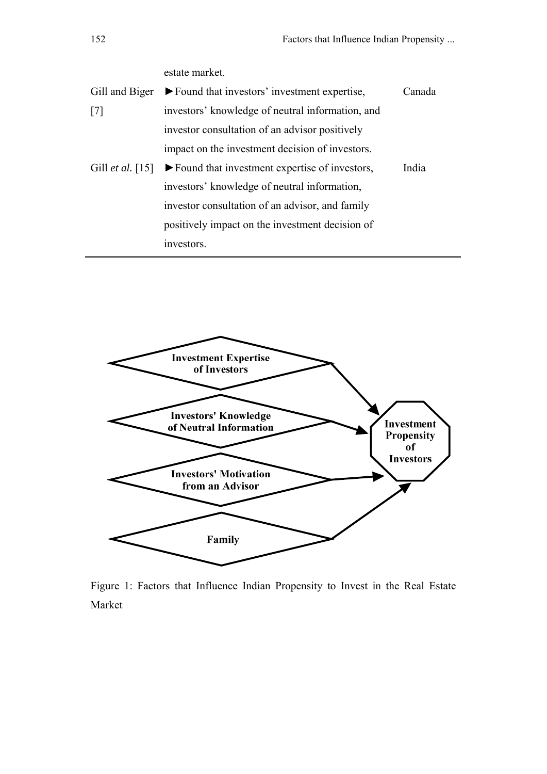|                         | estate market.                                                      |        |
|-------------------------|---------------------------------------------------------------------|--------|
| Gill and Biger          | $\blacktriangleright$ Found that investors' investment expertise,   | Canada |
| $\lceil 7 \rceil$       | investors' knowledge of neutral information, and                    |        |
|                         | investor consultation of an advisor positively                      |        |
|                         | impact on the investment decision of investors.                     |        |
| Gill <i>et al.</i> [15] | $\blacktriangleright$ Found that investment expertise of investors, | India  |
|                         | investors' knowledge of neutral information,                        |        |
|                         | investor consultation of an advisor, and family                     |        |
|                         | positively impact on the investment decision of                     |        |
|                         | investors.                                                          |        |



Figure 1: Factors that Influence Indian Propensity to Invest in the Real Estate Market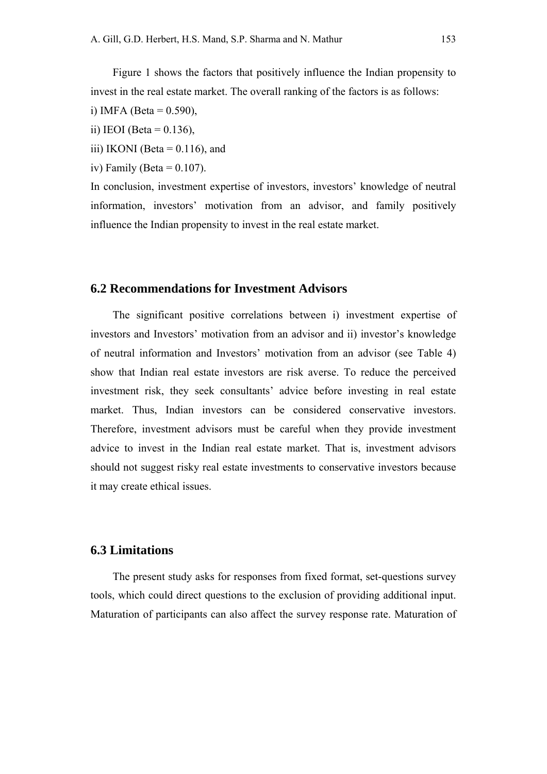Figure 1 shows the factors that positively influence the Indian propensity to invest in the real estate market. The overall ranking of the factors is as follows:

i) IMFA (Beta =  $0.590$ ),

ii) IEOI (Beta =  $0.136$ ),

iii) IKONI (Beta  $= 0.116$ ), and

iv) Family (Beta =  $0.107$ ).

In conclusion, investment expertise of investors, investors' knowledge of neutral information, investors' motivation from an advisor, and family positively influence the Indian propensity to invest in the real estate market.

#### **6.2 Recommendations for Investment Advisors**

The significant positive correlations between i) investment expertise of investors and Investors' motivation from an advisor and ii) investor's knowledge of neutral information and Investors' motivation from an advisor (see Table 4) show that Indian real estate investors are risk averse. To reduce the perceived investment risk, they seek consultants' advice before investing in real estate market. Thus, Indian investors can be considered conservative investors. Therefore, investment advisors must be careful when they provide investment advice to invest in the Indian real estate market. That is, investment advisors should not suggest risky real estate investments to conservative investors because it may create ethical issues.

## **6.3 Limitations**

The present study asks for responses from fixed format, set-questions survey tools, which could direct questions to the exclusion of providing additional input. Maturation of participants can also affect the survey response rate. Maturation of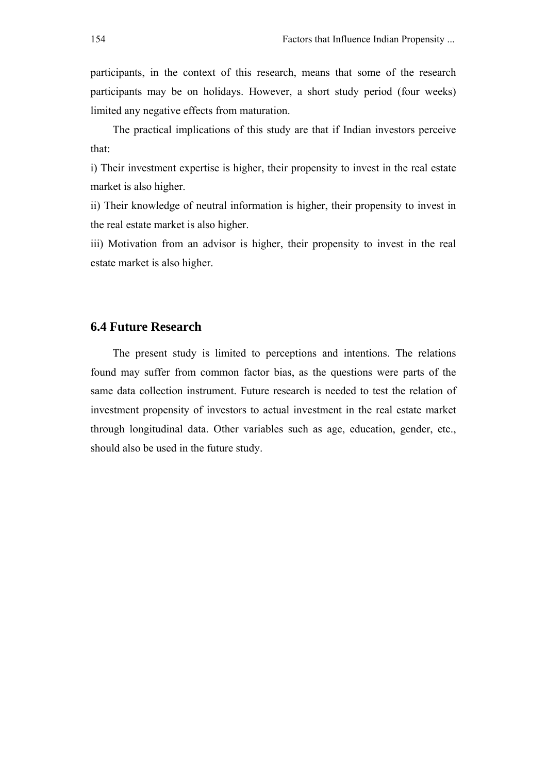participants, in the context of this research, means that some of the research participants may be on holidays. However, a short study period (four weeks) limited any negative effects from maturation.

The practical implications of this study are that if Indian investors perceive that:

i) Their investment expertise is higher, their propensity to invest in the real estate market is also higher.

ii) Their knowledge of neutral information is higher, their propensity to invest in the real estate market is also higher.

iii) Motivation from an advisor is higher, their propensity to invest in the real estate market is also higher.

### **6.4 Future Research**

The present study is limited to perceptions and intentions. The relations found may suffer from common factor bias, as the questions were parts of the same data collection instrument. Future research is needed to test the relation of investment propensity of investors to actual investment in the real estate market through longitudinal data. Other variables such as age, education, gender, etc., should also be used in the future study.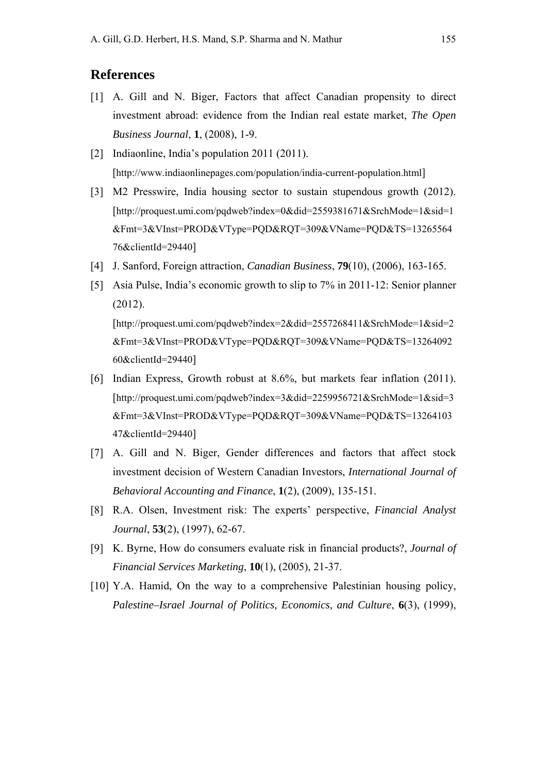# **References**

- [1] A. Gill and N. Biger, Factors that affect Canadian propensity to direct investment abroad: evidence from the Indian real estate market, *The Open Business Journal*, **1**, (2008), 1-9.
- [2] Indiaonline, India's population 2011 (2011). [http://www.indiaonlinepages.com/population/india-current-population.html]
- [3] M2 Presswire, India housing sector to sustain stupendous growth (2012). [http://proquest.umi.com/pqdweb?index=0&did=2559381671&SrchMode=1&sid=1 &Fmt=3&VInst=PROD&VType=PQD&RQT=309&VName=PQD&TS=13265564 76&clientId=29440]
- [4] J. Sanford, Foreign attraction, *Canadian Business*, **79**(10), (2006), 163-165.
- [5] Asia Pulse, India's economic growth to slip to 7% in 2011-12: Senior planner (2012).

[http://proquest.umi.com/pqdweb?index=2&did=2557268411&SrchMode=1&sid=2 &Fmt=3&VInst=PROD&VType=PQD&RQT=309&VName=PQD&TS=13264092 60&clientId=29440]

- [6] Indian Express, Growth robust at 8.6%, but markets fear inflation (2011). [http://proquest.umi.com/pqdweb?index=3&did=2259956721&SrchMode=1&sid=3 &Fmt=3&VInst=PROD&VType=PQD&RQT=309&VName=PQD&TS=13264103 47&clientId=29440]
- [7] A. Gill and N. Biger, Gender differences and factors that affect stock investment decision of Western Canadian Investors, *International Journal of Behavioral Accounting and Finance*, **1**(2), (2009), 135-151.
- [8] R.A. Olsen, Investment risk: The experts' perspective, *Financial Analyst Journal*, **53**(2), (1997), 62-67.
- [9] K. Byrne, How do consumers evaluate risk in financial products?, *Journal of Financial Services Marketing*, **10**(1), (2005), 21-37.
- [10] Y.A. Hamid, On the way to a comprehensive Palestinian housing policy, *Palestine–Israel Journal of Politics, Economics, and Culture*, **6**(3), (1999),